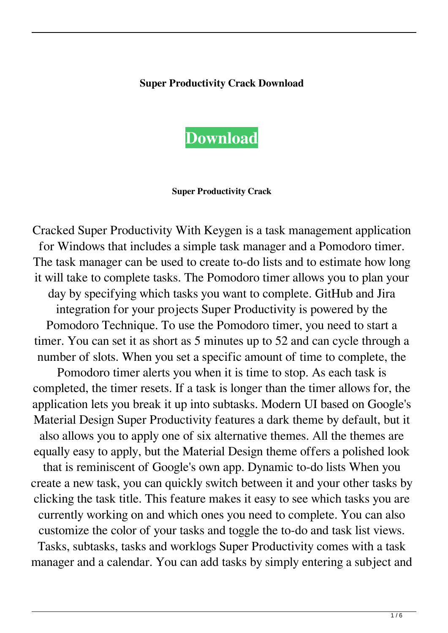## **Super Productivity Crack Download**



#### **Super Productivity Crack**

Cracked Super Productivity With Keygen is a task management application for Windows that includes a simple task manager and a Pomodoro timer. The task manager can be used to create to-do lists and to estimate how long it will take to complete tasks. The Pomodoro timer allows you to plan your day by specifying which tasks you want to complete. GitHub and Jira integration for your projects Super Productivity is powered by the Pomodoro Technique. To use the Pomodoro timer, you need to start a timer. You can set it as short as 5 minutes up to 52 and can cycle through a number of slots. When you set a specific amount of time to complete, the Pomodoro timer alerts you when it is time to stop. As each task is completed, the timer resets. If a task is longer than the timer allows for, the application lets you break it up into subtasks. Modern UI based on Google's Material Design Super Productivity features a dark theme by default, but it also allows you to apply one of six alternative themes. All the themes are equally easy to apply, but the Material Design theme offers a polished look that is reminiscent of Google's own app. Dynamic to-do lists When you create a new task, you can quickly switch between it and your other tasks by clicking the task title. This feature makes it easy to see which tasks you are currently working on and which ones you need to complete. You can also customize the color of your tasks and toggle the to-do and task list views. Tasks, subtasks, tasks and worklogs Super Productivity comes with a task manager and a calendar. You can add tasks by simply entering a subject and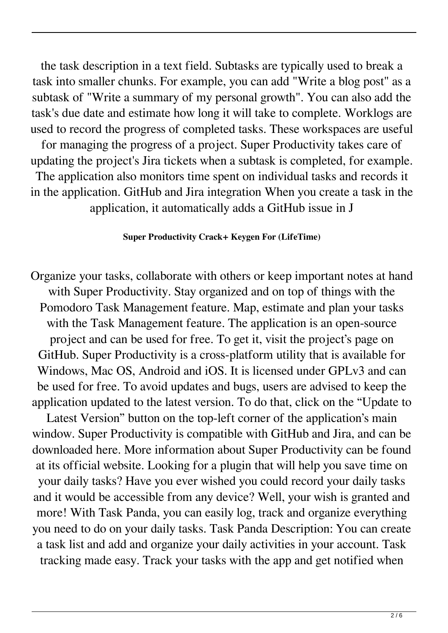the task description in a text field. Subtasks are typically used to break a task into smaller chunks. For example, you can add "Write a blog post" as a subtask of "Write a summary of my personal growth". You can also add the task's due date and estimate how long it will take to complete. Worklogs are used to record the progress of completed tasks. These workspaces are useful for managing the progress of a project. Super Productivity takes care of updating the project's Jira tickets when a subtask is completed, for example. The application also monitors time spent on individual tasks and records it in the application. GitHub and Jira integration When you create a task in the application, it automatically adds a GitHub issue in J

## **Super Productivity Crack+ Keygen For (LifeTime)**

Organize your tasks, collaborate with others or keep important notes at hand with Super Productivity. Stay organized and on top of things with the Pomodoro Task Management feature. Map, estimate and plan your tasks with the Task Management feature. The application is an open-source project and can be used for free. To get it, visit the project's page on GitHub. Super Productivity is a cross-platform utility that is available for Windows, Mac OS, Android and iOS. It is licensed under GPLv3 and can be used for free. To avoid updates and bugs, users are advised to keep the application updated to the latest version. To do that, click on the "Update to

Latest Version" button on the top-left corner of the application's main window. Super Productivity is compatible with GitHub and Jira, and can be downloaded here. More information about Super Productivity can be found at its official website. Looking for a plugin that will help you save time on your daily tasks? Have you ever wished you could record your daily tasks and it would be accessible from any device? Well, your wish is granted and more! With Task Panda, you can easily log, track and organize everything you need to do on your daily tasks. Task Panda Description: You can create a task list and add and organize your daily activities in your account. Task tracking made easy. Track your tasks with the app and get notified when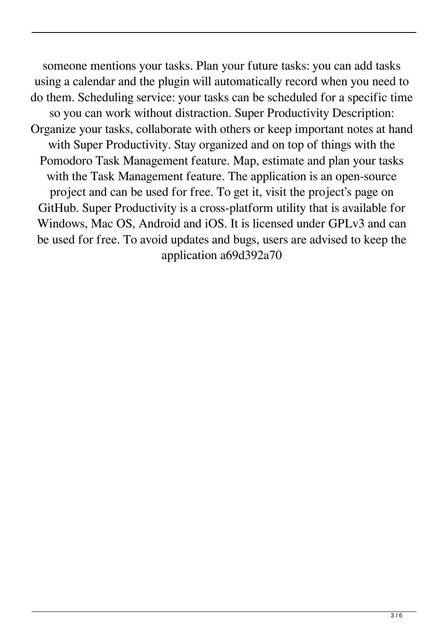someone mentions your tasks. Plan your future tasks: you can add tasks using a calendar and the plugin will automatically record when you need to do them. Scheduling service: your tasks can be scheduled for a specific time so you can work without distraction. Super Productivity Description: Organize your tasks, collaborate with others or keep important notes at hand with Super Productivity. Stay organized and on top of things with the Pomodoro Task Management feature. Map, estimate and plan your tasks with the Task Management feature. The application is an open-source project and can be used for free. To get it, visit the project's page on GitHub. Super Productivity is a cross-platform utility that is available for Windows, Mac OS, Android and iOS. It is licensed under GPLv3 and can be used for free. To avoid updates and bugs, users are advised to keep the application a69d392a70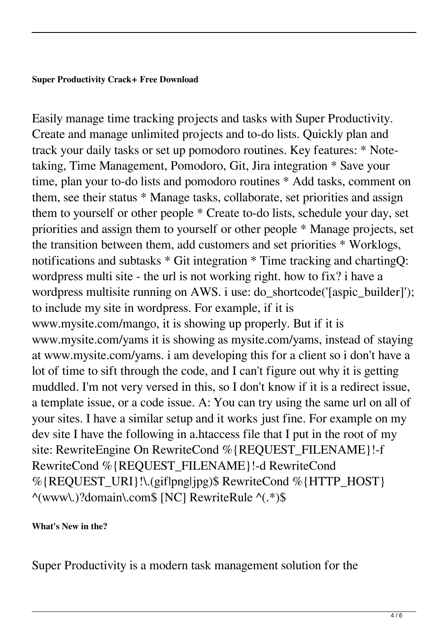### **Super Productivity Crack+ Free Download**

Easily manage time tracking projects and tasks with Super Productivity. Create and manage unlimited projects and to-do lists. Quickly plan and track your daily tasks or set up pomodoro routines. Key features: \* Notetaking, Time Management, Pomodoro, Git, Jira integration \* Save your time, plan your to-do lists and pomodoro routines \* Add tasks, comment on them, see their status \* Manage tasks, collaborate, set priorities and assign them to yourself or other people \* Create to-do lists, schedule your day, set priorities and assign them to yourself or other people \* Manage projects, set the transition between them, add customers and set priorities \* Worklogs, notifications and subtasks \* Git integration \* Time tracking and chartingQ: wordpress multi site - the url is not working right. how to fix? i have a wordpress multisite running on AWS. i use: do\_shortcode('[aspic\_builder]'); to include my site in wordpress. For example, if it is www.mysite.com/mango, it is showing up properly. But if it is www.mysite.com/yams it is showing as mysite.com/yams, instead of staying at www.mysite.com/yams. i am developing this for a client so i don't have a lot of time to sift through the code, and I can't figure out why it is getting muddled. I'm not very versed in this, so I don't know if it is a redirect issue, a template issue, or a code issue. A: You can try using the same url on all of your sites. I have a similar setup and it works just fine. For example on my dev site I have the following in a.htaccess file that I put in the root of my site: RewriteEngine On RewriteCond %{REQUEST\_FILENAME}!-f RewriteCond %{REQUEST\_FILENAME}!-d RewriteCond %{REQUEST\_URI}!\.(gif|png|jpg)\$ RewriteCond %{HTTP\_HOST} ^(www\.)?domain\.com\$ [NC] RewriteRule ^(.\*)\$

# **What's New in the?**

Super Productivity is a modern task management solution for the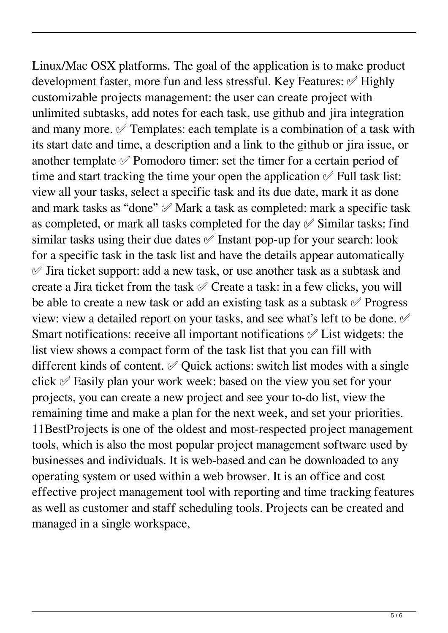Linux/Mac OSX platforms. The goal of the application is to make product development faster, more fun and less stressful. Key Features: ✅ Highly customizable projects management: the user can create project with unlimited subtasks, add notes for each task, use github and jira integration and many more. ✅ Templates: each template is a combination of a task with its start date and time, a description and a link to the github or jira issue, or another template  $\mathcal O$  Pomodoro timer: set the timer for a certain period of time and start tracking the time your open the application  $\mathscr S$  Full task list: view all your tasks, select a specific task and its due date, mark it as done and mark tasks as "done" ✅ Mark a task as completed: mark a specific task as completed, or mark all tasks completed for the day  $\mathcal O$  Similar tasks: find similar tasks using their due dates ✅ Instant pop-up for your search: look for a specific task in the task list and have the details appear automatically  $\mathcal O$  Jira ticket support: add a new task, or use another task as a subtask and create a Jira ticket from the task ✅ Create a task: in a few clicks, you will be able to create a new task or add an existing task as a subtask ✅ Progress view: view a detailed report on your tasks, and see what's left to be done. ✅ Smart notifications: receive all important notifications  $\mathcal O$  List widgets: the list view shows a compact form of the task list that you can fill with different kinds of content. ✅ Quick actions: switch list modes with a single click  $\mathscr O$  Easily plan your work week: based on the view you set for your projects, you can create a new project and see your to-do list, view the remaining time and make a plan for the next week, and set your priorities. 11BestProjects is one of the oldest and most-respected project management tools, which is also the most popular project management software used by businesses and individuals. It is web-based and can be downloaded to any operating system or used within a web browser. It is an office and cost effective project management tool with reporting and time tracking features as well as customer and staff scheduling tools. Projects can be created and managed in a single workspace,